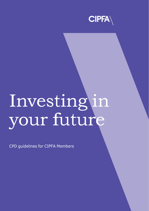

#### I y n o v u e r S<sup>-</sup> f t u in tu  $g'$ r i e n

CPD guidelines for CIPFA Members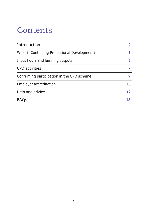### **Contents**

| 5  |
|----|
|    |
| 9  |
| 10 |
| 12 |
|    |
|    |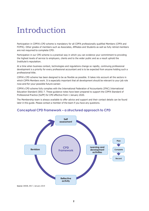### Introduction

Participation in CIPFA's CPD scheme is mandatory for all CIPFA professionally qualified Members (CPFA and FCPFA). Other grades of members such as Associates, Affiliates and Students as well as fully retired members are not required to complete CPD.

Participation in our CPD scheme is a practical way in which you can evidence your commitment to providing the highest levels of service to employers, clients and to the wider public and as a result uphold the Institute's reputation.

At a time when business context, technologies and regulations change so rapidly, continuing professional development is a priority for every professional accountant and is to be expected from anyone holding such a professional title.

CIPFA's CPD scheme has been designed to be as flexible as possible. It takes into account all the sectors in which CIPFA Members work. It is especially important that all development should be relevant to your job role now and for your possible future career.

CIPFA's CPD scheme fully complies with the International Federation of Accountants (IFAC) International Education Standard (IES) 7. These guidance notes have been prepared to support the CIPFA Standard of Professional Practice (SoPP) for CPD effective from 1 January 2020.

The Membership team is always available to offer advice and support and their contact details can be found later in this guide. Please contact a member of the team if you have any questions.



#### **Conceptual CPD Framework – a structured approach to CPD**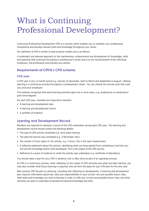## What is Continuing Professional Development?

Continuing Professional Development CPD is a process which enables you to maintain your professional competence and develop relevant skills and knowledge throughout your career.

Our definition of CPD is similar to best practice models and is as follows:

*A systematic and planned approach to the maintenance, enhancement and development of knowledge, skills* and expertise that continues throughout a professional's career and is to the mutual benefit of the individual, *employer, the profession and society as a whole.*

#### **Requirements of CIPFA's CPD scheme**

#### **CPD year**

A CPD year is any 12 month period e.g. January to December, April to March and September to August. Lifelong learning is a continuous process throughout a professional's career. You can choose the annual cycle that suits you and your employer.

The Institute recognises that some learning activities span one or more years, e.g. studying for an advanced or part-time degree.

For each CPD year, members are required to maintain:

- A learning and development plan
- A learning and development record
- A portfolio of evidence

#### **Learning and Development Record**

Members are required to maintain a record of the CPD undertaken during each CPD year. The learning and development record should contain the following details:

- The type of CPD activity completed e.g. work place training.
- The date the activity was completed e.g. 5 November 2021.
- The number of hours spent on the activity, e.g. 4 hours, this is the input measurement.
- A reflective statement about the activity, identifying what you have gained from completing it and how you will use the knowledge and/or skills developed. This is the output of the CPD activity.
- Reference to a piece of evidence to verify the activity was undertaken e.g. certificate of attendance.

You should make a plan for your CPD in advance, this is often done as part of an appraisal process.

As CPD is a continuous process, when reflecting on the output of CPD activities and what has been learned, you may also consider what future learning is required; this can form the basis for your CPD plan for the next year.

Best practice CPD focuses on planning, recording and reflecting on development. A learning and development plan requires information about key roles and responsibilities in your current role and possible future roles, what skills and knowledge you wish to develop in order to fulfil your current and possible future roles, and what activities you plan to undertake to develop the desired knowledge and skills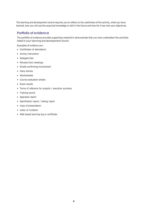The learning and development record requires you to reflect on the usefulness of the activity, what you have learned, how you will use the acquired knowledge or skill in the future and how far it has met your objectives.

#### **Portfolio of evidence**

The portfolio of evidence provides supporting material to demonstrate that you have undertaken the activities listed in your learning and development record.

Examples of evidence are:

- Certificates of attendance
- Joining instructions
- Delegate lists
- Minutes from meetings
- Emails confirming involvement
- Diary entries
- Worksheets
- Course evaluation sheets
- Exam results
- Terms of reference for projects / executive summary
- Training record
- Appraisal report
- Specification report / testing report
- Copy of presentation
- Letter of invitation
- Web based learning log or certificate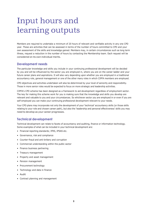## Input hours and learning outputs

Members are required to undertake a minimum of 20 hours of relevant and verifiable activity in any one CPD year. These are activities that can be assessed in terms of the number of hours committed to CPD and your own assessment of the skills and knowledge gained. Members may, in certain circumstances such as long term illness, request a reduction in the number of hours by contacting the Membership team. Each request will be considered on its own individual merits.

#### **Development needs**

The particular knowledge and skills you include in your continuing professional development will be decided by you and will be influenced by the sector you are employed in, where you are on the career ladder and your future career plans and aspirations. It will also vary depending upon whether you are employed in a traditional accountancy role, general management or one of the other many roles in which CIPFA members are employed.

CPD objectives and activities undertaken will also be determined by your level of seniority and responsibility. Those in more senior roles would be expected to focus on more strategic and leadership activities.

CIPFA's CPD scheme has been designed as a framework to aid development regardless of employment sector. The key for making this scheme work for you is making sure that the knowledge and skills you develop are relevant and valuable to you and your circumstances. So whichever sector you are employed in or even if you are self-employed you can make your continuing professional development relevant to your needs.

Your CPD plans may incorporate not only the development of your 'technical' accountancy skills (or those skills relating to your role and chosen career path), but also the 'leadership and personal effectiveness' skills you may need to develop as your career progresses.

#### **Technical development**

Technical development can relate to facets of accountancy and auditing, finance or information technology. Some examples of what can be included in your technical development are:

- Financial reporting standards; IFRS, IPSAS etc.
- Governance, risk and compliance
- Counter-fraud and anti-bribery and corruption
- Commercial understanding within the public sector
- Finance business partnering
- Treasury management
- Property and asset management
- Pension management
- Procurement technology
- Technology and data in finance
- Audit
- Contract planning and management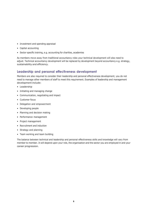- Investment and spending appraisal
- Capital accounting
- Sector specific training, e.g. accounting for charities, academies

As members move away from traditional accountancy roles your technical development will also need to adjust. Technical accountancy development will be replaced by development beyond accountancy e.g. strategy, sustainability and efficiency.

#### **Leadership and personal effectiveness development**

Members are also required to consider their leadership and personal effectiveness development; you do not need to manage other members of staff to meet this requirement. Examples of leadership and management development include:

- Leadership
- Initiating and managing change
- Communication, negotiating and impact
- Customer focus
- Delegation and empowerment
- Developing people
- Planning and decision making
- Performance management
- Project management
- Recruitment and induction
- Strategy and planning
- Team working and team building

The balance between technical and leadership and personal effectiveness skills and knowledge will vary from member to member. It will depend upon your role, the organisation and the sector you are employed in and your career progression.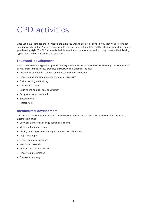### CPD activities

Once you have identified the knowledge and skills you wish to acquire or develop, you then need to consider how you wish to do this. You are encouraged to consider how best you learn and to select activities that support your learning style. The CPD scheme is flexible to suit your circumstances and you may consider the following types of activities contributing to your CPD:

#### **Structured development**

A structured activity is typically a planned activity where a particular outcome is expected e.g. development of a particular skill or knowledge. Examples of structured development include:

- Attendance at a training course, conference, seminar or workshop
- Preparing and implementing new systems or processes
- Online learning and training
- On-the-job training
- Undertaking an additional qualification
- Being coached or mentored
- Secondment
- Project work

#### **Unstructured development**

Unstructured development is more ad hoc and the outcome is not usually known at the outset of the activity. Examples include:

- Using skills and/or knowledge gained on a course
- Work shadowing a colleague
- Visiting other departments or organisation to learn from them
- Preparing a report
- Discussions with colleagues
- Web based research
- Reading journals and articles
- Preparing a presentation
- On-the-job learning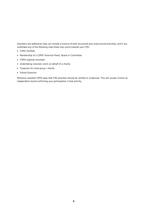Voluntary and additional roles can include a mixture of both structured and unstructured activities, and if you undertake any of the following roles these may count towards your CPD:

- CIPFA Portfolio
- Membership of a CIPFA Technical Panel, Board or Committee
- CIPFA regional volunteer
- Undertaking voluntary work on behalf of a charity
- Treasurer of a local group / charity
- School Governor

Wherever possible CIPFA asks that CPD activities should be verified or evidenced. This will usually involve an independent record confirming your participation in that activity.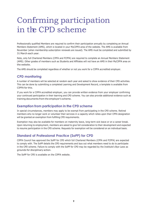# Confrming participation in the CPD scheme

Professionally qualified Members are required to confirm their participation annually by completing an Annual Members Statement (AMS), which is located in your MyCIPFA area of the website. The AMS is available from November (when membership subscription renewals are issued). The AMS must be completed and submitted by 31 March each year.

Note, only full Chartered Members (CPFA and FCPFA) are required to complete an Annual Members Statement (AMS). Other grades of members such as Students and Affiliates will not have an AMS in their MyCIPFA area on the website.

The AMS should be completed regardless of whether or not you work for a CIPFA accredited employer.

#### **CPD monitoring**

A number of members will be selected at random each year and asked to show evidence of their CPD activities. This can be done by submitting a completed Learning and Development Record, a template is available from CIPFA for this.

If you work for a CIPFA accredited employer, you can provide written evidence from your employer confirming your continued participation in their learning and CPD scheme. You can also provide additional evidence such as training documents from the employer's scheme.

#### **Exemption from participation in the CPD scheme**

In special circumstances, members may apply to be exempt from participating in the CPD scheme. Retired members who no longer work or volunteer their services in a capacity which relies upon their CPFA designation will be granted an exemption from fulfilling CPD requirements.

Exemption may also be available for members on maternity leave, long-term sick leave or on a career break. Upon returning to employment, members are asked to give full consideration to their development and expected to resume participation in the CPD scheme. Requests for exemption will be considered on an individual basis.

### **Standard of Professional Practice (SoPP) for CPD**

CIPFA Council has approved the SoPP for CPD which full Chartered Members (CPFA and FCPFA) are expected to comply with. The SoPP details the CPD requirements and lays out what members need to do to participate in the CPD scheme. Failure to comply with the SoPP for CPD may be regarded by the Institute's Bye-Laws as grounds for disciplinary action.

The SoPP for CPD is available on the CIPFA website.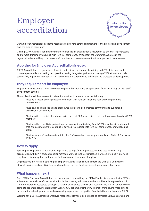# Employer accreditation



Our Employer Accreditation scheme recognises employers' strong commitment to the professional development and training of their staff.

Gaining CIPFA Accreditation Employer status enhances an organisation's reputation as one that is progressive and forward-thinking by ensuring high levels of competency throughout the workforce. As a result the organisation is more likely to increase staff retention and become more attractive to prospective employees.

#### **Applying for Employer Accreditation is easy.**

CIPFA Accreditation recognises excellence in professional development, training and CPD. It is awarded to those employers demonstrating best practice, having integrated policies for training CIPFA students and also successfully implementing internal staff development programmes to aid continuing professional development.

#### **Entry requirements for employers**

Employers can become a CIPFA Accredited Employer by submitting an application form and a copy of their staff development scheme.

The application will be assessed to determine whether it demonstrates the following:

- Must be a recognised organisation, compliant with relevant legal and regulatory employment requirements.
- Must have current policies and procedures in place to demonstrate commitment to supporting professional development.
- Must provide a consistent and appropriate level of CPD supervision to all employees registered as CIPFA members.
- Must provide or facilitate professional development and training for all CIPFA members to a standard that enables members to continually develop role-appropriate levels of competence, knowledge and skills.
- Must be aware of, and operate within, the Professional Accountancy standards and Code of Practice set by CIPFA.

#### **How to apply**

Applying for Employer Accreditation is a quick and straightforward process, with no cost involved. Any organisation with CIPFA students and/or members working in the organisation is welcome to apply, provided they have a formal system and process for learning and development in place.

Organisations interested in applying for Employer Accreditation should contact the Quality & Compliance office at qualitycompliance@cipfa.org, who will send out the Employer Accreditation application form.

#### **What happens next?**

Once CIPFA Employer Accreditation has been approved, providing the CIPFA Member is registered with CIPFA's scheme and annually confirms participation in the scheme, individual members will be able to provide proof from the approved accredited employer's scheme as evidence of their CPD activities and will not be required to complete separate documentation from CIPFA's CPD scheme. Members will benefit from having more time to devote to their development, as well as receiving support and recognition from both their employer and CIPFA.

Working for a CIPFA Accredited Employer means that Members do not need to complete CIPFA's Learning and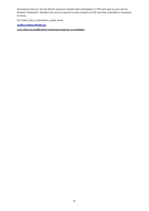Development Record, but will still be required to declare their participation in CPD each year on your Annual Members' Statement. Members may also be required to show evidence of CPD activities undertaken if requested to do so.

For further help or information, please email:

**[qualitycompliance@cipfa.org](mailto:qualitycompliance@cipfa.org)**

**[www.cipfa.org/qualifications/employers/employer-accreditation](http://www.cipfa.org/qualifications/employers/employer-accreditation)**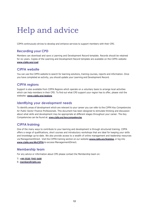## Help and advice

CIPFA continuously strives to develop and enhance services to support members with their CPD.

#### **Recording your CPD**

Members can download and save a Learning and Development Record template. Records should be retained for six years. Copies of the Learning and Development Record template are available on the CIPFA website: **[www.cipfa.org/cpd](http://www.cipfa.org/cpd)**

#### **CIPFA website**

You can use the CIPFA website to search for learning solutions, training courses, reports and information. Once you have completed an activity, you should update your Learning and Development Record.

#### **CIPFA regions**

Support is also available from CIPFA Regions which operate on a voluntary basis to arrange local activities which can help members in their CPD. To find out what CPD support your region has to offer, please visit the website: **[www.cipfa.org/regions](http://www.cipfa.org/regions)**

#### **Identifying your development needs**

To identify areas of development which are relevant to your career you can refer to the *CIPFA Key Competencies for Public Sector Finance Professionals*. This document has been designed to stimulate thinking and discussion about what skills and development may be appropriate at different stages throughout your career. The Key Competencies can be found at: **[www.cipfa.org/keycompetencies](http://www.cipfa.org/keycompetencies)**

#### **CIPFA training**

One of the many ways to contribute to your learning and development is through structured training. CIPFA offers a range of qualifications, short courses and introductory workshops that are ideal for keeping your skills and knowledge up-to-date. We also provide access to a wealth of online management and leadership resources via ManagementDirect. Visit the CIPFA training section on our website **[www.cipfa.org/training](http://www.cipfa.org/training)**, [o](http://www.cipfa.org/training)r log into **[www.cipfa.org/MyCIPFA](http://www.cipfa.org/MyCIPFA)** to access ManagementDirect.

#### **Membership team**

For any advice or information about CPD please contact the Membership team on:

- T: **+44 (0)20 7543 5600**
- E: **[members@cipfa.org](mailto:members@cipfa.org)**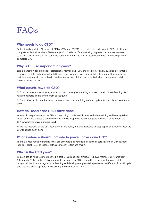# FAQs

#### **Who needs to do CPD?**

Professionally qualified Members of CIPFA (CPFA and FCPFA) are required to participate in CPD activities and complete an Annual Members' Statement (AMS). If selected for monitoring purposes, you are also required to provide evidence of the CPD you have done. Affiliate, Associate and Student members are not required to complete CPD.

#### **Why is CPD so important anyway?**

It is a mandatory requirement of professional membership. CPD enables professionally qualified accountants to stay up to date and equipped with the necessary competencies to undertake their work. It also helps to maintain standards in the profession and enhances the publics' trust in individual accountants and public finance professionals.

#### **What counts towards CPD?**

CPD can be done in many forms, from structured training by attending a course to unstructured learning like reading reports and learning from colleagues.

CPD activities should be suitable for the level of work you are doing and appropriate for the role and sector you are in.

#### **How do I record the CPD I have done?**

You should keep a record of the CPD you are doing; this is best done as and when training and learning takes place. CIPFA has created a simple Learning and Development Record template which is available from the CIPFA website: **[www.cipfa.org/cpd](http://www.cipfa.org/cpd)**

As well as recording all the CPD activities you are doing, it is also advisable to keep copies of evidence about the CPD that has been done.

#### **What evidence should I provide to prove I have done CPD?**

There is a wide range of materials that are acceptable as verifiable evidence of participating in CPD activities, including: certificates, attendance lists, confirmation letters and emails.

#### **What is the CPD year?**

You can decide which 12 month period is best for you and your employer. CIPFA's membership year is from 1 January to 31 December. It is preferable to manage your CPD in line with the membership year, but it is recognised that in some organisation learning and development plans take place over a different 12 month cycle and that is also acceptable for recording and monitoring CPD.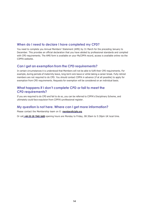#### **When do I need to declare I have completed my CPD?**

You need to complete you Annual Members' Statement (AMS) by 31 March for the preceding January to December. This provides an official declaration that you have abided by professional standards and complied with CPD requirements. The AMS form is available on your MyCIPFA record, access is available online via the CIPFA website.

#### **Can I get an exemption from the CPD requirements?**

In certain circumstances it is understood that Members will not be able to fulfil their CPD requirements. For example, during periods of maternity leave, long-term sick leave or while taking a career break. Fully retired members are not required to do CPD. You should contact CIPFA in advance (if at all possible) to apply for exemption from CPD requirements. Requests for exemption will be considered on an individual basis.

#### **What happens if I don't complete CPD or fail to meet the CPD requirements?**

If you are required to do CPD and fail to do so, you can be referred to CIPFA's Disciplinary Scheme, and ultimately could face expulsion from CIPFA's professional register.

#### **My question is not here. Where can I get more information?**

Please contact the Membership team on E: **[members@cipfa.org](mailto:members@cipfa.org)**

Or call **+44 (0) 20 7543 5600** opening hours are Monday to Friday, 08:30am to 5:30pm UK local time.